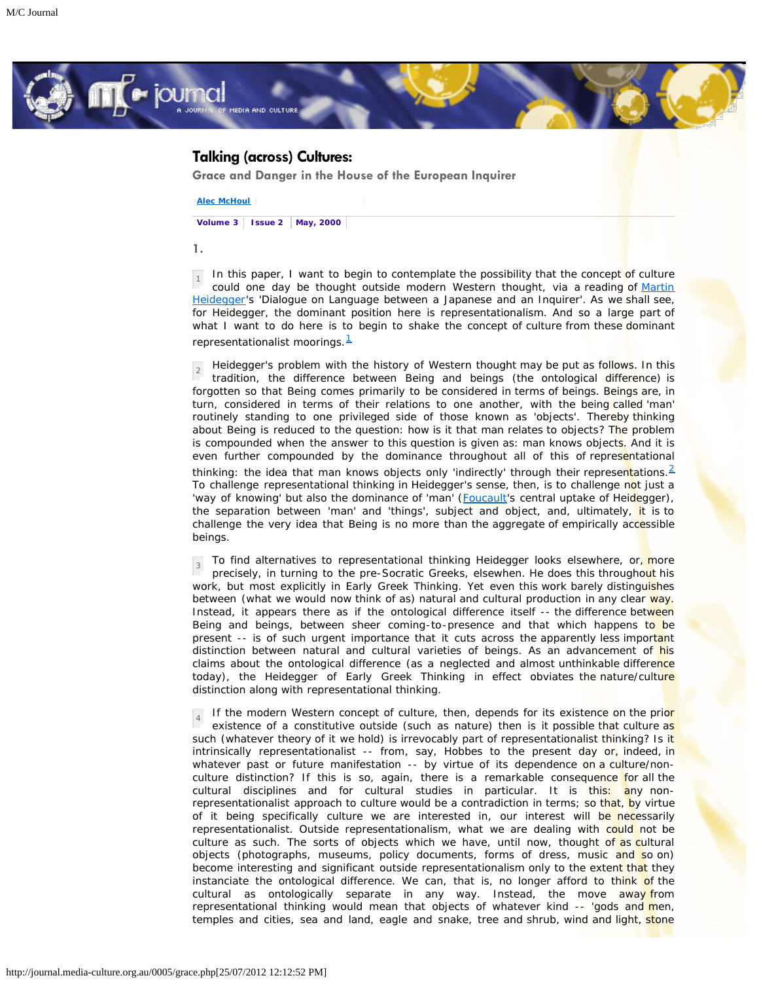

# **Talking (across) Cultures:**

**Grace and Danger in the House of the European Inquirer**

**[Alec McHoul](http://journal.media-culture.org.au/journal/contributors_name_M.php#McHoulAlec)**

**Volume 3 Issue 2 May, 2000**

**1.**

1 In this paper, I want to begin to contemplate the possibility that the concept of culture could one day be thought outside modern Western thought, via a reading of [Martin](http://www.webcom.com/%7Epaf/ereignis.html) [Heidegger](http://www.webcom.com/%7Epaf/ereignis.html)'s 'Dialogue on Language between a Japanese and an Inquirer'. As we shall see, for Heidegger, the dominant position here is representationalism. And so a large part of what I want to do here is to begin to shake the concept of culture from these dominant representationalist moorings. $<sup>1</sup>$  $<sup>1</sup>$  $<sup>1</sup>$ </sup>

2 Heidegger's problem with the history of Western thought may be put as follows. In this tradition, the difference between Being and beings (the ontological difference) is forgotten so that Being comes primarily to be considered in terms of beings. Beings are, in turn, considered in terms of their relations to one another, with the being called 'man' routinely standing to one privileged side of those known as 'objects'. Thereby thinking about Being is reduced to the question: how is it that man relates to objects? The problem is compounded when the answer to this question is given as: man knows objects. And it is even further compounded by the dominance throughout all of this of representational thinking: the idea that man knows objects only 'indirectly' through their representations.<sup>[2](http://journal.media-culture.org.au/grace5.html#fn2)</sup> To challenge representational thinking in Heidegger's sense, then, is to challenge not just a 'way of knowing' but also the dominance of 'man' ([Foucault](http://www.csun.edu/%7Ehfspc002/foucault.home.html)'s central uptake of Heidegger), the separation between 'man' and 'things', subject and object, and, ultimately, it is to challenge the very idea that Being is no more than the aggregate of empirically accessible beings.

3 To find alternatives to representational thinking Heidegger looks elsewhere, or, more precisely, in turning to the pre-Socratic Greeks, elsewhen. He does this throughout his work, but most explicitly in Early Greek Thinking. Yet even this work barely distinguishes between (what we would now think of as) natural and cultural production in any clear way. Instead, it appears there as if the ontological difference itself -- the difference between Being and beings, between sheer coming-to-presence and that which happens to be present -- is of such urgent importance that it cuts across the apparently less important distinction between natural and cultural varieties of beings. As an advancement of his claims about the ontological difference (as a neglected and almost unthinkable difference today), the Heidegger of Early Greek Thinking in effect obviates the nature/culture distinction along with representational thinking.

4 If the modern Western concept of culture, then, depends for its existence on the prior existence of a constitutive outside (such as nature) then is it possible that culture as such (whatever theory of it we hold) is irrevocably part of representationalist thinking? Is it intrinsically representationalist -- from, say, Hobbes to the present day or, indeed, in whatever past or future manifestation -- by virtue of its dependence on a culture/nonculture distinction? If this is so, again, there is a remarkable consequence for all the cultural disciplines and for cultural studies in particular. It is this: any nonrepresentationalist approach to culture would be a contradiction in terms; so that, by virtue of it being specifically culture we are interested in, our interest will be necessarily representationalist. Outside representationalism, what we are dealing with could not be culture as such. The sorts of objects which we have, until now, thought of as cultural objects (photographs, museums, policy documents, forms of dress, music and so on) become interesting and significant outside representationalism only to the extent that they instanciate the ontological difference. We can, that is, no longer afford to think of the cultural as ontologically separate in any way. Instead, the move away from representational thinking would mean that objects of whatever kind -- 'gods and men, temples and cities, sea and land, eagle and snake, tree and shrub, wind and light, stone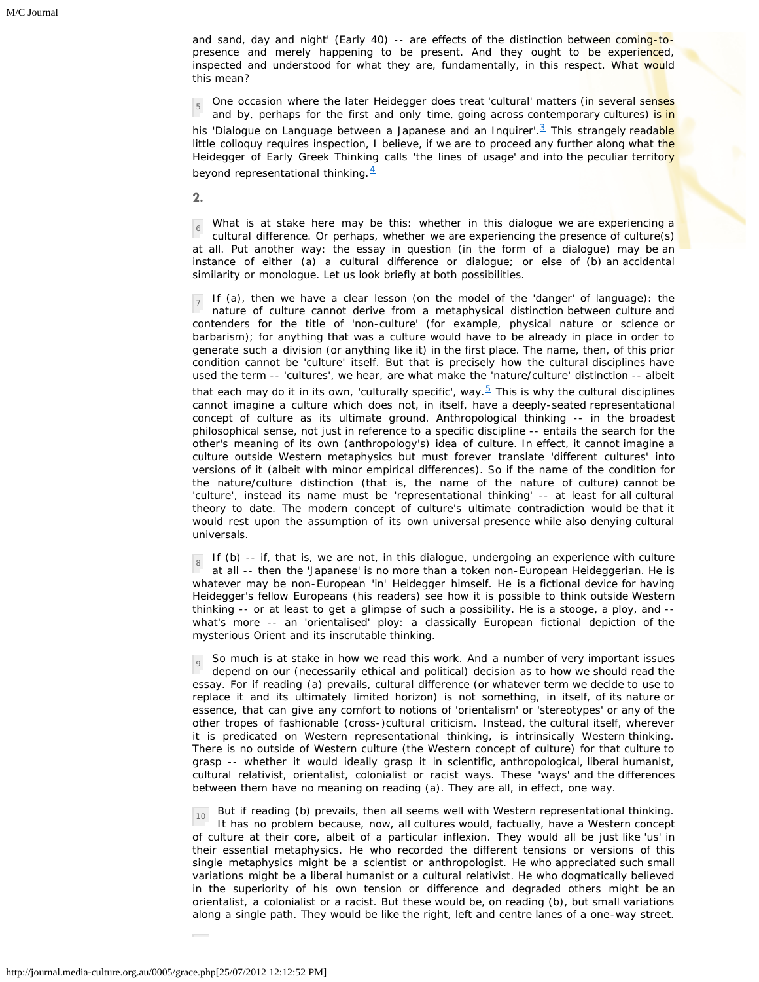and sand, day and night' (Early 40) -- are effects of the distinction between coming-topresence and merely happening to be present. And they ought to be experienced, inspected and understood for what they are, fundamentally, in this respect. What would this mean?

5 One occasion where the later Heidegger does treat 'cultural' matters (in several senses and by, perhaps for the first and only time, going across contemporary cultures) is in his 'Dialogue on Language between a Japanese and an Inguirer'.<sup>3</sup> This strangely readable little colloquy requires inspection, I believe, if we are to proceed any further along what the Heidegger of Early Greek Thinking calls 'the lines of usage' and into the peculiar territory beyond representational thinking. $4$ 

**2.**

6 What is at stake here may be this: whether in this dialogue we are experiencing a cultural difference. Or perhaps, whether we are experiencing the presence of culture(s) at all. Put another way: the essay in question (in the form of a dialogue) may be an instance of either (a) a cultural difference or dialogue; or else of (b) an accidental similarity or monologue. Let us look briefly at both possibilities.

7 If (a), then we have a clear lesson (on the model of the 'danger' of language): the nature of culture cannot derive from a metaphysical distinction between culture and contenders for the title of 'non-culture' (for example, physical nature or science or barbarism); for anything that was a culture would have to be already in place in order to generate such a division (or anything like it) in the first place. The name, then, of this prior condition cannot be 'culture' itself. But that is precisely how the cultural disciplines have used the term -- 'cultures', we hear, are what make the 'nature/culture' distinction -- albeit that each may do it in its own, 'culturally specific', way. $5$  This is why the cultural disciplines cannot imagine a culture which does not, in itself, have a deeply-seated representational concept of culture as its ultimate ground. Anthropological thinking -- in the broadest philosophical sense, not just in reference to a specific discipline -- entails the search for the other's meaning of its own (anthropology's) idea of culture. In effect, it cannot imagine a culture outside Western metaphysics but must forever translate 'different cultures' into versions of it (albeit with minor empirical differences). So if the name of the condition for the nature/culture distinction (that is, the name of the nature of culture) cannot be 'culture', instead its name must be 'representational thinking' -- at least for all cultural theory to date. The modern concept of culture's ultimate contradiction would be that it would rest upon the assumption of its own universal presence while also denying cultural universals.

8 If (b) -- if, that is, we are not, in this dialogue, undergoing an experience with culture at all -- then the 'Japanese' is no more than a token non-European Heideggerian. He is whatever may be non-European 'in' Heidegger himself. He is a fictional device for having Heidegger's fellow Europeans (his readers) see how it is possible to think outside Western thinking -- or at least to get a glimpse of such a possibility. He is a stooge, a ploy, and - what's more -- an 'orientalised' ploy: a classically European fictional depiction of the mysterious Orient and its inscrutable thinking.

9 So much is at stake in how we read this work. And a number of very important issues depend on our (necessarily ethical and political) decision as to how we should read the essay. For if reading (a) prevails, cultural difference (or whatever term we decide to use to replace it and its ultimately limited horizon) is not something, in itself, of its nature or essence, that can give any comfort to notions of 'orientalism' or 'stereotypes' or any of the other tropes of fashionable (cross-)cultural criticism. Instead, the cultural itself, wherever it is predicated on Western representational thinking, is intrinsically Western thinking. There is no outside of Western culture (the Western concept of culture) for that culture to grasp -- whether it would ideally grasp it in scientific, anthropological, liberal humanist, cultural relativist, orientalist, colonialist or racist ways. These 'ways' and the differences between them have no meaning on reading (a). They are all, in effect, one way.

10 But if reading (b) prevails, then all seems well with Western representational thinking. It has no problem because, now, all cultures would, factually, have a Western concept of culture at their core, albeit of a particular inflexion. They would all be just like 'us' in their essential metaphysics. He who recorded the different tensions or versions of this single metaphysics might be a scientist or anthropologist. He who appreciated such small variations might be a liberal humanist or a cultural relativist. He who dogmatically believed in the superiority of his own tension or difference and degraded others might be an orientalist, a colonialist or a racist. But these would be, on reading (b), but small variations along a single path. They would be like the right, left and centre lanes of a one-way street.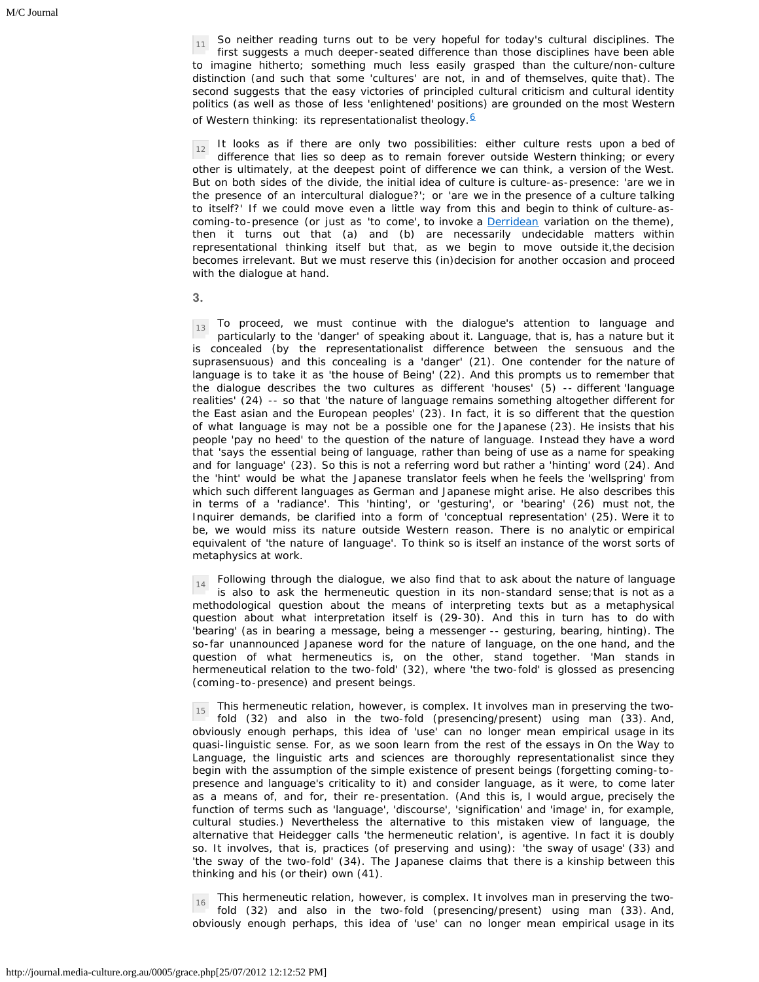11 So neither reading turns out to be very hopeful for today's cultural disciplines. The first suggests a much deeper-seated difference than those disciplines have been able to imagine hitherto; something much less easily grasped than the culture/non-culture distinction (and such that some 'cultures' are not, in and of themselves, quite that). The second suggests that the easy victories of principled cultural criticism and cultural identity politics (as well as those of less 'enlightened' positions) are grounded on the most Western of Western thinking: its representationalist theology.<sup>[6](http://journal.media-culture.org.au/grace5.html#fn6)</sup>

12 It looks as if there are only two possibilities: either culture rests upon a bed of difference that lies so deep as to remain forever outside Western thinking; or every other is ultimately, at the deepest point of difference we can think, a version of the West. But on both sides of the divide, the initial idea of culture is culture-as-presence: 'are we in the presence of an intercultural dialogue?'; or 'are we in the presence of a culture talking to itself?' If we could move even a little way from this and begin to think of culture-ascoming-to-presence (or just as 'to come', to invoke a **Derridean** variation on the theme), then it turns out that (a) and (b) are necessarily undecidable matters within representational thinking itself but that, as we begin to move outside it,the decision becomes irrelevant. But we must reserve this (in)decision for another occasion and proceed with the dialogue at hand.

**3.**

 $\frac{13}{13}$  To proceed, we must continue with the dialogue's attention to language and particularly to the 'danger' of speaking about it. Language, that is, has a nature but it is concealed (by the representationalist difference between the sensuous and the suprasensuous) and this concealing is a 'danger' (21). One contender for the nature of language is to take it as 'the house of Being' (22). And this prompts us to remember that the dialogue describes the two cultures as different 'houses' (5) -- different 'language realities' (24) -- so that 'the nature of language remains something altogether different for the East asian and the European peoples' (23). In fact, it is so different that the question of what language is may not be a possible one for the Japanese (23). He insists that his people 'pay no heed' to the question of the nature of language. Instead they have a word that 'says the essential being of language, rather than being of use as a name for speaking and for language' (23). So this is not a referring word but rather a 'hinting' word (24). And the 'hint' would be what the Japanese translator feels when he feels the 'wellspring' from which such different languages as German and Japanese might arise. He also describes this in terms of a 'radiance'. This 'hinting', or 'gesturing', or 'bearing' (26) must not, the Inquirer demands, be clarified into a form of 'conceptual representation' (25). Were it to be, we would miss its nature outside Western reason. There is no analytic or empirical equivalent of 'the nature of language'. To think so is itself an instance of the worst sorts of metaphysics at work.

14 Following through the dialogue, we also find that to ask about the nature of language is also to ask the hermeneutic question in its non-standard sense;that is not as a methodological question about the means of interpreting texts but as a metaphysical question about what interpretation itself is (29-30). And this in turn has to do with 'bearing' (as in bearing a message, being a messenger -- gesturing, bearing, hinting). The so-far unannounced Japanese word for the nature of language, on the one hand, and the question of what hermeneutics is, on the other, stand together. 'Man stands in hermeneutical relation to the two-fold' (32), where 'the two-fold' is glossed as presencing (coming-to-presence) and present beings.

15 This hermeneutic relation, however, is complex. It involves man in preserving the twofold (32) and also in the two-fold (presencing/present) using man (33). And, obviously enough perhaps, this idea of 'use' can no longer mean empirical usage in its quasi-linguistic sense. For, as we soon learn from the rest of the essays in On the Way to Language, the linguistic arts and sciences are thoroughly representationalist since they begin with the assumption of the simple existence of present beings (forgetting coming-topresence and language's criticality to it) and consider language, as it were, to come later as a means of, and for, their re-presentation. (And this is, I would argue, precisely the function of terms such as 'language', 'discourse', 'signification' and 'image' in, for example, cultural studies.) Nevertheless the alternative to this mistaken view of language, the alternative that Heidegger calls 'the hermeneutic relation', is agentive. In fact it is doubly so. It involves, that is, practices (of preserving and using): 'the sway of usage' (33) and 'the sway of the two-fold' (34). The Japanese claims that there is a kinship between this thinking and his (or their) own (41).

16 This hermeneutic relation, however, is complex. It involves man in preserving the twofold (32) and also in the two-fold (presencing/present) using man (33). And, obviously enough perhaps, this idea of 'use' can no longer mean empirical usage in its